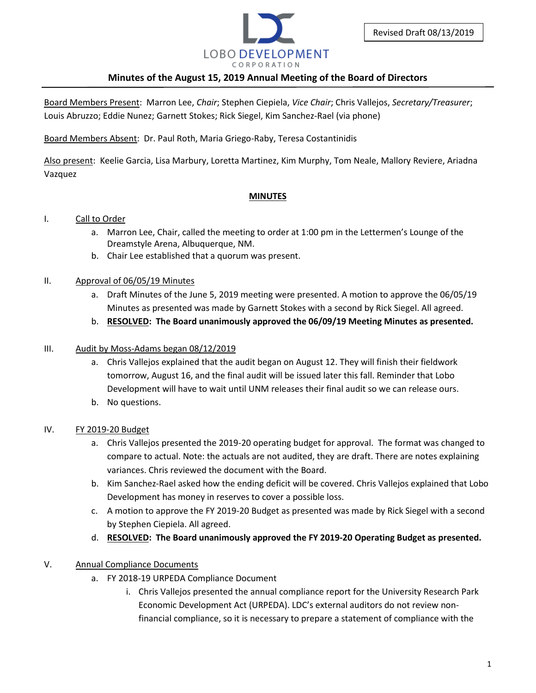

Board Members Present: Marron Lee, *Chair*; Stephen Ciepiela, *Vice Chair*; Chris Vallejos, *Secretary/Treasurer*; Louis Abruzzo; Eddie Nunez; Garnett Stokes; Rick Siegel, Kim Sanchez-Rael (via phone)

Board Members Absent: Dr. Paul Roth, Maria Griego-Raby, Teresa Costantinidis

Also present: Keelie Garcia, Lisa Marbury, Loretta Martinez, Kim Murphy, Tom Neale, Mallory Reviere, Ariadna Vazquez

## **MINUTES**

### I. Call to Order

- a. Marron Lee, Chair, called the meeting to order at 1:00 pm in the Lettermen's Lounge of the Dreamstyle Arena, Albuquerque, NM.
- b. Chair Lee established that a quorum was present.

## II. Approval of 06/05/19 Minutes

- a. Draft Minutes of the June 5, 2019 meeting were presented. A motion to approve the 06/05/19 Minutes as presented was made by Garnett Stokes with a second by Rick Siegel. All agreed.
- b. **RESOLVED: The Board unanimously approved the 06/09/19 Meeting Minutes as presented.**

## III. Audit by Moss-Adams began 08/12/2019

- a. Chris Vallejos explained that the audit began on August 12. They will finish their fieldwork tomorrow, August 16, and the final audit will be issued later this fall. Reminder that Lobo Development will have to wait until UNM releases their final audit so we can release ours.
- b. No questions.

### IV. FY 2019-20 Budget

- a. Chris Vallejos presented the 2019-20 operating budget for approval. The format was changed to compare to actual. Note: the actuals are not audited, they are draft. There are notes explaining variances. Chris reviewed the document with the Board.
- b. Kim Sanchez-Rael asked how the ending deficit will be covered. Chris Vallejos explained that Lobo Development has money in reserves to cover a possible loss.
- c. A motion to approve the FY 2019-20 Budget as presented was made by Rick Siegel with a second by Stephen Ciepiela. All agreed.
- d. **RESOLVED: The Board unanimously approved the FY 2019-20 Operating Budget as presented.**

# V. Annual Compliance Documents

- a. FY 2018-19 URPEDA Compliance Document
	- i. Chris Vallejos presented the annual compliance report for the University Research Park Economic Development Act (URPEDA). LDC's external auditors do not review nonfinancial compliance, so it is necessary to prepare a statement of compliance with the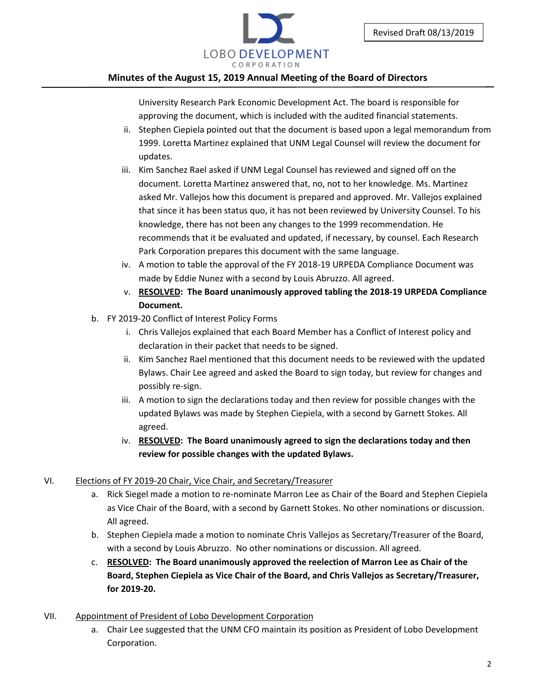

University Research Park Economic Development Act. The board is responsible for approving the document, which is included with the audited financial statements.

- ii. Stephen Ciepiela pointed out that the document is based upon a legal memorandum from 1999. Loretta Martinez explained that UNM Legal Counsel will review the document for updates.
- iii. Kim Sanchez Rael asked if UNM Legal Counsel has reviewed and signed off on the document. Loretta Martinez answered that, no, not to her knowledge. Ms. Martinez asked Mr. Vallejos how this document is prepared and approved. Mr. Vallejos explained that since it has been status quo, it has not been reviewed by University Counsel. To his knowledge, there has not been any changes to the 1999 recommendation. He recommends that it be evaluated and updated, if necessary, by counsel. Each Research Park Corporation prepares this document with the same language.
- iv. A motion to table the approval of the FY 2018-19 URPEDA Compliance Document was made by Eddie Nunez with a second by Louis Abruzzo. All agreed.
- v. **RESOLVED: The Board unanimously approved tabling the 2018-19 URPEDA Compliance Document.**
- b. FY 2019-20 Conflict of Interest Policy Forms
	- i. Chris Vallejos explained that each Board Member has a Conflict of Interest policy and declaration in their packet that needs to be signed.
	- ii. Kim Sanchez Rael mentioned that this document needs to be reviewed with the updated Bylaws. Chair Lee agreed and asked the Board to sign today, but review for changes and possibly re-sign.
	- iii. A motion to sign the declarations today and then review for possible changes with the updated Bylaws was made by Stephen Ciepiela, with a second by Garnett Stokes. All agreed.
	- iv. **RESOLVED: The Board unanimously agreed to sign the declarations today and then review for possible changes with the updated Bylaws.**

# VI. Elections of FY 2019-20 Chair, Vice Chair, and Secretary/Treasurer

- a. Rick Siegel made a motion to re-nominate Marron Lee as Chair of the Board and Stephen Ciepiela as Vice Chair of the Board, with a second by Garnett Stokes. No other nominations or discussion. All agreed.
- b. Stephen Ciepiela made a motion to nominate Chris Vallejos as Secretary/Treasurer of the Board, with a second by Louis Abruzzo. No other nominations or discussion. All agreed.
- c. **RESOLVED: The Board unanimously approved the reelection of Marron Lee as Chair of the Board, Stephen Ciepiela as Vice Chair of the Board, and Chris Vallejos as Secretary/Treasurer, for 2019-20.**
- VII. Appointment of President of Lobo Development Corporation
	- a. Chair Lee suggested that the UNM CFO maintain its position as President of Lobo Development Corporation.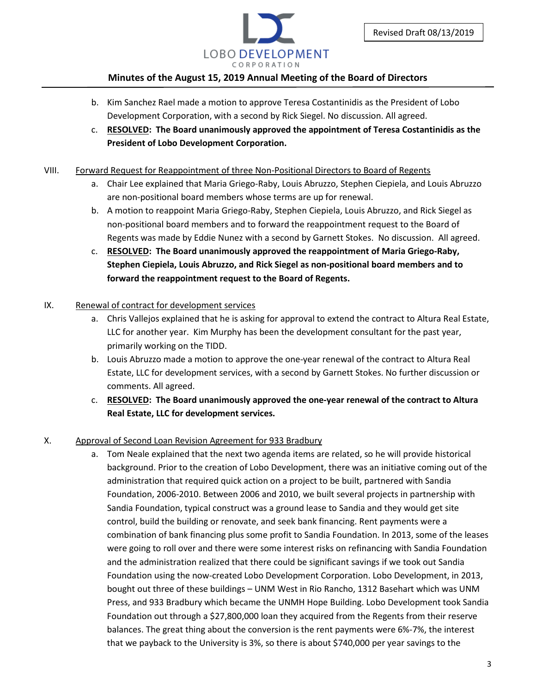

- b. Kim Sanchez Rael made a motion to approve Teresa Costantinidis as the President of Lobo Development Corporation, with a second by Rick Siegel. No discussion. All agreed.
- c. **RESOLVED: The Board unanimously approved the appointment of Teresa Costantinidis as the President of Lobo Development Corporation.**

## VIII. Forward Request for Reappointment of three Non-Positional Directors to Board of Regents

- a. Chair Lee explained that Maria Griego-Raby, Louis Abruzzo, Stephen Ciepiela, and Louis Abruzzo are non-positional board members whose terms are up for renewal.
- b. A motion to reappoint Maria Griego-Raby, Stephen Ciepiela, Louis Abruzzo, and Rick Siegel as non-positional board members and to forward the reappointment request to the Board of Regents was made by Eddie Nunez with a second by Garnett Stokes. No discussion. All agreed.
- c. **RESOLVED: The Board unanimously approved the reappointment of Maria Griego-Raby, Stephen Ciepiela, Louis Abruzzo, and Rick Siegel as non-positional board members and to forward the reappointment request to the Board of Regents.**

# IX. Renewal of contract for development services

- a. Chris Vallejos explained that he is asking for approval to extend the contract to Altura Real Estate, LLC for another year. Kim Murphy has been the development consultant for the past year, primarily working on the TIDD.
- b. Louis Abruzzo made a motion to approve the one-year renewal of the contract to Altura Real Estate, LLC for development services, with a second by Garnett Stokes. No further discussion or comments. All agreed.
- c. **RESOLVED: The Board unanimously approved the one-year renewal of the contract to Altura Real Estate, LLC for development services.**

# X. Approval of Second Loan Revision Agreement for 933 Bradbury

a. Tom Neale explained that the next two agenda items are related, so he will provide historical background. Prior to the creation of Lobo Development, there was an initiative coming out of the administration that required quick action on a project to be built, partnered with Sandia Foundation, 2006-2010. Between 2006 and 2010, we built several projects in partnership with Sandia Foundation, typical construct was a ground lease to Sandia and they would get site control, build the building or renovate, and seek bank financing. Rent payments were a combination of bank financing plus some profit to Sandia Foundation. In 2013, some of the leases were going to roll over and there were some interest risks on refinancing with Sandia Foundation and the administration realized that there could be significant savings if we took out Sandia Foundation using the now-created Lobo Development Corporation. Lobo Development, in 2013, bought out three of these buildings – UNM West in Rio Rancho, 1312 Basehart which was UNM Press, and 933 Bradbury which became the UNMH Hope Building. Lobo Development took Sandia Foundation out through a \$27,800,000 loan they acquired from the Regents from their reserve balances. The great thing about the conversion is the rent payments were 6%-7%, the interest that we payback to the University is 3%, so there is about \$740,000 per year savings to the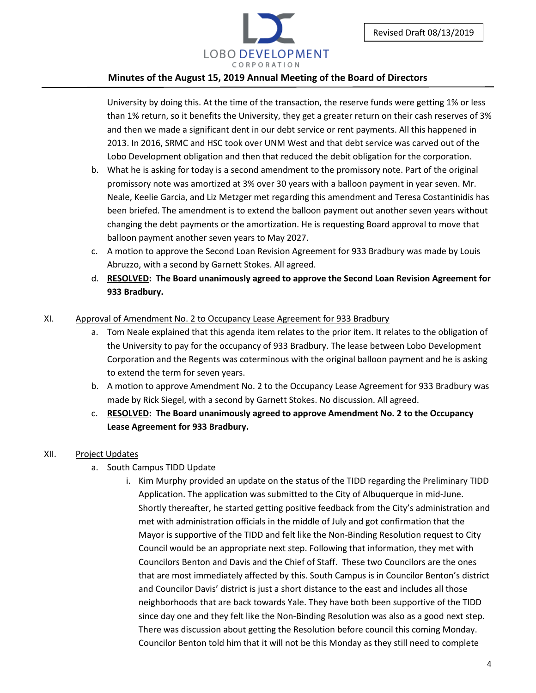

University by doing this. At the time of the transaction, the reserve funds were getting 1% or less than 1% return, so it benefits the University, they get a greater return on their cash reserves of 3% and then we made a significant dent in our debt service or rent payments. All this happened in 2013. In 2016, SRMC and HSC took over UNM West and that debt service was carved out of the Lobo Development obligation and then that reduced the debit obligation for the corporation.

- b. What he is asking for today is a second amendment to the promissory note. Part of the original promissory note was amortized at 3% over 30 years with a balloon payment in year seven. Mr. Neale, Keelie Garcia, and Liz Metzger met regarding this amendment and Teresa Costantinidis has been briefed. The amendment is to extend the balloon payment out another seven years without changing the debt payments or the amortization. He is requesting Board approval to move that balloon payment another seven years to May 2027.
- c. A motion to approve the Second Loan Revision Agreement for 933 Bradbury was made by Louis Abruzzo, with a second by Garnett Stokes. All agreed.
- d. **RESOLVED: The Board unanimously agreed to approve the Second Loan Revision Agreement for 933 Bradbury.**

### XI. Approval of Amendment No. 2 to Occupancy Lease Agreement for 933 Bradbury

- a. Tom Neale explained that this agenda item relates to the prior item. It relates to the obligation of the University to pay for the occupancy of 933 Bradbury. The lease between Lobo Development Corporation and the Regents was coterminous with the original balloon payment and he is asking to extend the term for seven years.
- b. A motion to approve Amendment No. 2 to the Occupancy Lease Agreement for 933 Bradbury was made by Rick Siegel, with a second by Garnett Stokes. No discussion. All agreed.
- c. **RESOLVED: The Board unanimously agreed to approve Amendment No. 2 to the Occupancy Lease Agreement for 933 Bradbury.**

### XII. Project Updates

- a. South Campus TIDD Update
	- i. Kim Murphy provided an update on the status of the TIDD regarding the Preliminary TIDD Application. The application was submitted to the City of Albuquerque in mid-June. Shortly thereafter, he started getting positive feedback from the City's administration and met with administration officials in the middle of July and got confirmation that the Mayor is supportive of the TIDD and felt like the Non-Binding Resolution request to City Council would be an appropriate next step. Following that information, they met with Councilors Benton and Davis and the Chief of Staff. These two Councilors are the ones that are most immediately affected by this. South Campus is in Councilor Benton's district and Councilor Davis' district is just a short distance to the east and includes all those neighborhoods that are back towards Yale. They have both been supportive of the TIDD since day one and they felt like the Non-Binding Resolution was also as a good next step. There was discussion about getting the Resolution before council this coming Monday. Councilor Benton told him that it will not be this Monday as they still need to complete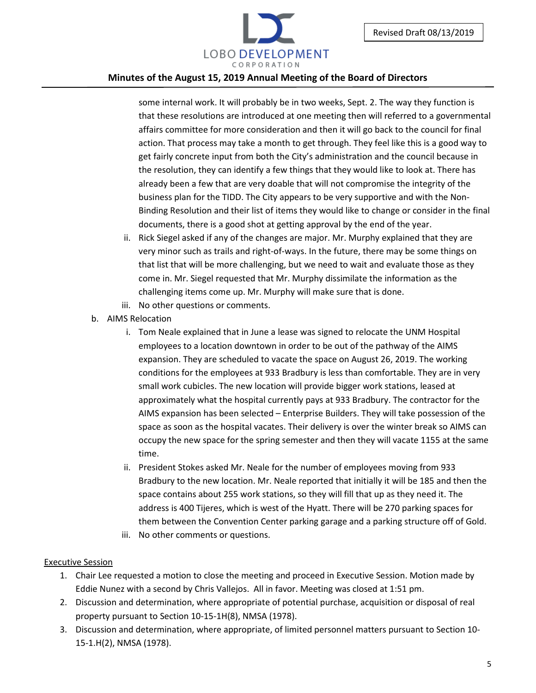

some internal work. It will probably be in two weeks, Sept. 2. The way they function is that these resolutions are introduced at one meeting then will referred to a governmental affairs committee for more consideration and then it will go back to the council for final action. That process may take a month to get through. They feel like this is a good way to get fairly concrete input from both the City's administration and the council because in the resolution, they can identify a few things that they would like to look at. There has already been a few that are very doable that will not compromise the integrity of the business plan for the TIDD. The City appears to be very supportive and with the Non-Binding Resolution and their list of items they would like to change or consider in the final documents, there is a good shot at getting approval by the end of the year.

- ii. Rick Siegel asked if any of the changes are major. Mr. Murphy explained that they are very minor such as trails and right-of-ways. In the future, there may be some things on that list that will be more challenging, but we need to wait and evaluate those as they come in. Mr. Siegel requested that Mr. Murphy dissimilate the information as the challenging items come up. Mr. Murphy will make sure that is done.
- iii. No other questions or comments.
- b. AIMS Relocation
	- i. Tom Neale explained that in June a lease was signed to relocate the UNM Hospital employees to a location downtown in order to be out of the pathway of the AIMS expansion. They are scheduled to vacate the space on August 26, 2019. The working conditions for the employees at 933 Bradbury is less than comfortable. They are in very small work cubicles. The new location will provide bigger work stations, leased at approximately what the hospital currently pays at 933 Bradbury. The contractor for the AIMS expansion has been selected – Enterprise Builders. They will take possession of the space as soon as the hospital vacates. Their delivery is over the winter break so AIMS can occupy the new space for the spring semester and then they will vacate 1155 at the same time.
	- ii. President Stokes asked Mr. Neale for the number of employees moving from 933 Bradbury to the new location. Mr. Neale reported that initially it will be 185 and then the space contains about 255 work stations, so they will fill that up as they need it. The address is 400 Tijeres, which is west of the Hyatt. There will be 270 parking spaces for them between the Convention Center parking garage and a parking structure off of Gold.
	- iii. No other comments or questions.

### Executive Session

- 1. Chair Lee requested a motion to close the meeting and proceed in Executive Session. Motion made by Eddie Nunez with a second by Chris Vallejos. All in favor. Meeting was closed at 1:51 pm.
- 2. Discussion and determination, where appropriate of potential purchase, acquisition or disposal of real property pursuant to Section 10-15-1H(8), NMSA (1978).
- 3. Discussion and determination, where appropriate, of limited personnel matters pursuant to Section 10- 15-1.H(2), NMSA (1978).